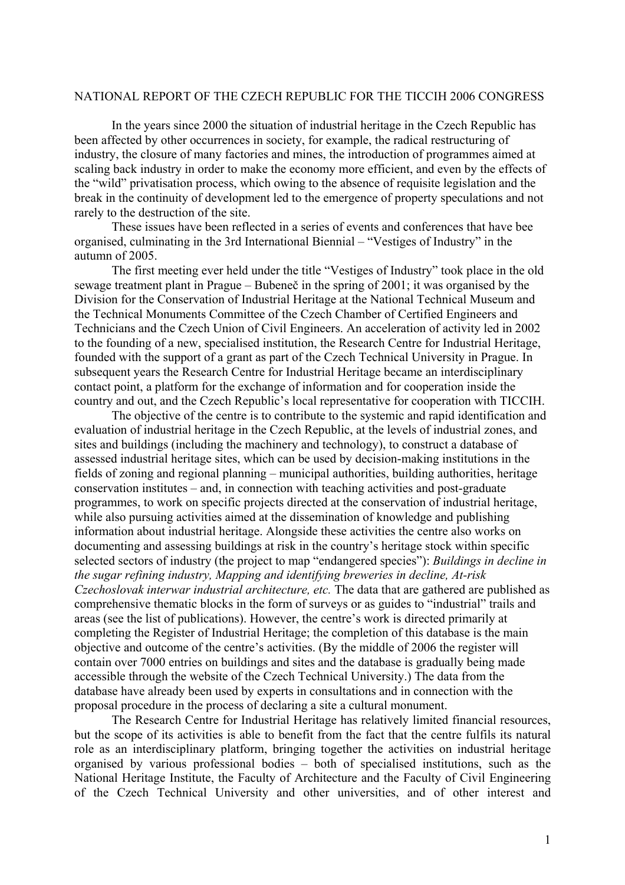## NATIONAL REPORT OF THE CZECH REPUBLIC FOR THE TICCIH 2006 CONGRESS

In the years since 2000 the situation of industrial heritage in the Czech Republic has been affected by other occurrences in society, for example, the radical restructuring of industry, the closure of many factories and mines, the introduction of programmes aimed at scaling back industry in order to make the economy more efficient, and even by the effects of the "wild" privatisation process, which owing to the absence of requisite legislation and the break in the continuity of development led to the emergence of property speculations and not rarely to the destruction of the site.

These issues have been reflected in a series of events and conferences that have bee organised, culminating in the 3rd International Biennial – "Vestiges of Industry" in the autumn of 2005.

The first meeting ever held under the title "Vestiges of Industry" took place in the old sewage treatment plant in Prague – Bubeneč in the spring of 2001; it was organised by the Division for the Conservation of Industrial Heritage at the National Technical Museum and the Technical Monuments Committee of the Czech Chamber of Certified Engineers and Technicians and the Czech Union of Civil Engineers. An acceleration of activity led in 2002 to the founding of a new, specialised institution, the Research Centre for Industrial Heritage, founded with the support of a grant as part of the Czech Technical University in Prague. In subsequent years the Research Centre for Industrial Heritage became an interdisciplinary contact point, a platform for the exchange of information and for cooperation inside the country and out, and the Czech Republic's local representative for cooperation with TICCIH.

The objective of the centre is to contribute to the systemic and rapid identification and evaluation of industrial heritage in the Czech Republic, at the levels of industrial zones, and sites and buildings (including the machinery and technology), to construct a database of assessed industrial heritage sites, which can be used by decision-making institutions in the fields of zoning and regional planning – municipal authorities, building authorities, heritage conservation institutes – and, in connection with teaching activities and post-graduate programmes, to work on specific projects directed at the conservation of industrial heritage, while also pursuing activities aimed at the dissemination of knowledge and publishing information about industrial heritage. Alongside these activities the centre also works on documenting and assessing buildings at risk in the country's heritage stock within specific selected sectors of industry (the project to map "endangered species"): *Buildings in decline in the sugar refining industry, Mapping and identifying breweries in decline, At-risk Czechoslovak interwar industrial architecture, etc.* The data that are gathered are published as comprehensive thematic blocks in the form of surveys or as guides to "industrial" trails and areas (see the list of publications). However, the centre's work is directed primarily at completing the Register of Industrial Heritage; the completion of this database is the main objective and outcome of the centre's activities. (By the middle of 2006 the register will contain over 7000 entries on buildings and sites and the database is gradually being made accessible through the website of the Czech Technical University.) The data from the database have already been used by experts in consultations and in connection with the proposal procedure in the process of declaring a site a cultural monument.

The Research Centre for Industrial Heritage has relatively limited financial resources, but the scope of its activities is able to benefit from the fact that the centre fulfils its natural role as an interdisciplinary platform, bringing together the activities on industrial heritage organised by various professional bodies – both of specialised institutions, such as the National Heritage Institute, the Faculty of Architecture and the Faculty of Civil Engineering of the Czech Technical University and other universities, and of other interest and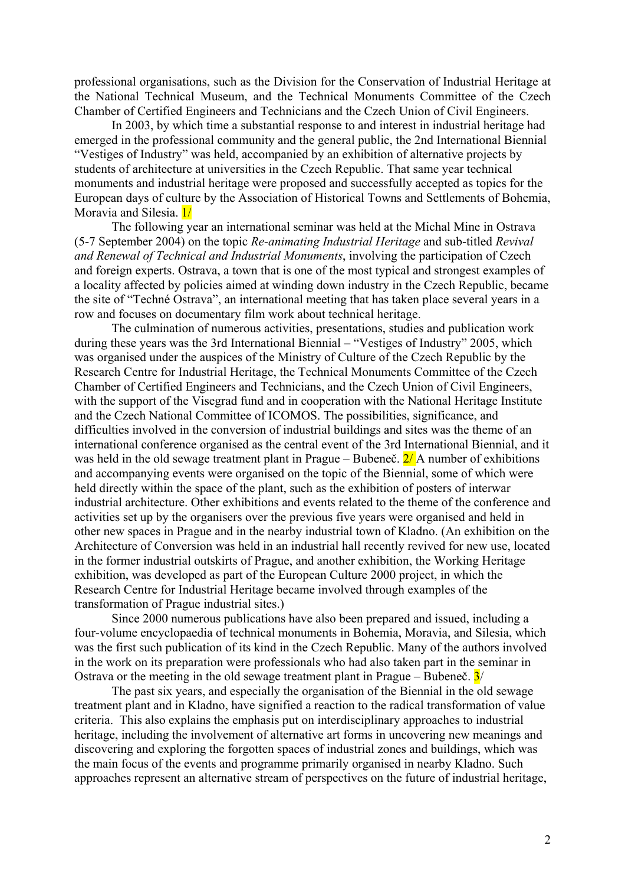professional organisations, such as the Division for the Conservation of Industrial Heritage at the National Technical Museum, and the Technical Monuments Committee of the Czech Chamber of Certified Engineers and Technicians and the Czech Union of Civil Engineers.

In 2003, by which time a substantial response to and interest in industrial heritage had emerged in the professional community and the general public, the 2nd International Biennial "Vestiges of Industry" was held, accompanied by an exhibition of alternative projects by students of architecture at universities in the Czech Republic. That same year technical monuments and industrial heritage were proposed and successfully accepted as topics for the European days of culture by the Association of Historical Towns and Settlements of Bohemia, Moravia and Silesia. 1/

The following year an international seminar was held at the Michal Mine in Ostrava (5-7 September 2004) on the topic *Re-animating Industrial Heritage* and sub-titled *Revival and Renewal of Technical and Industrial Monuments*, involving the participation of Czech and foreign experts. Ostrava, a town that is one of the most typical and strongest examples of a locality affected by policies aimed at winding down industry in the Czech Republic, became the site of "Techné Ostrava", an international meeting that has taken place several years in a row and focuses on documentary film work about technical heritage.

The culmination of numerous activities, presentations, studies and publication work during these years was the 3rd International Biennial – "Vestiges of Industry" 2005, which was organised under the auspices of the Ministry of Culture of the Czech Republic by the Research Centre for Industrial Heritage, the Technical Monuments Committee of the Czech Chamber of Certified Engineers and Technicians, and the Czech Union of Civil Engineers, with the support of the Visegrad fund and in cooperation with the National Heritage Institute and the Czech National Committee of ICOMOS. The possibilities, significance, and difficulties involved in the conversion of industrial buildings and sites was the theme of an international conference organised as the central event of the 3rd International Biennial, and it was held in the old sewage treatment plant in Prague – Bubeneč.  $2/\lambda$  number of exhibitions and accompanying events were organised on the topic of the Biennial, some of which were held directly within the space of the plant, such as the exhibition of posters of interwar industrial architecture. Other exhibitions and events related to the theme of the conference and activities set up by the organisers over the previous five years were organised and held in other new spaces in Prague and in the nearby industrial town of Kladno. (An exhibition on the Architecture of Conversion was held in an industrial hall recently revived for new use, located in the former industrial outskirts of Prague, and another exhibition, the Working Heritage exhibition, was developed as part of the European Culture 2000 project, in which the Research Centre for Industrial Heritage became involved through examples of the transformation of Prague industrial sites.)

Since 2000 numerous publications have also been prepared and issued, including a four-volume encyclopaedia of technical monuments in Bohemia, Moravia, and Silesia, which was the first such publication of its kind in the Czech Republic. Many of the authors involved in the work on its preparation were professionals who had also taken part in the seminar in Ostrava or the meeting in the old sewage treatment plant in Prague – Bubeneč.  $3/$ 

The past six years, and especially the organisation of the Biennial in the old sewage treatment plant and in Kladno, have signified a reaction to the radical transformation of value criteria. This also explains the emphasis put on interdisciplinary approaches to industrial heritage, including the involvement of alternative art forms in uncovering new meanings and discovering and exploring the forgotten spaces of industrial zones and buildings, which was the main focus of the events and programme primarily organised in nearby Kladno. Such approaches represent an alternative stream of perspectives on the future of industrial heritage,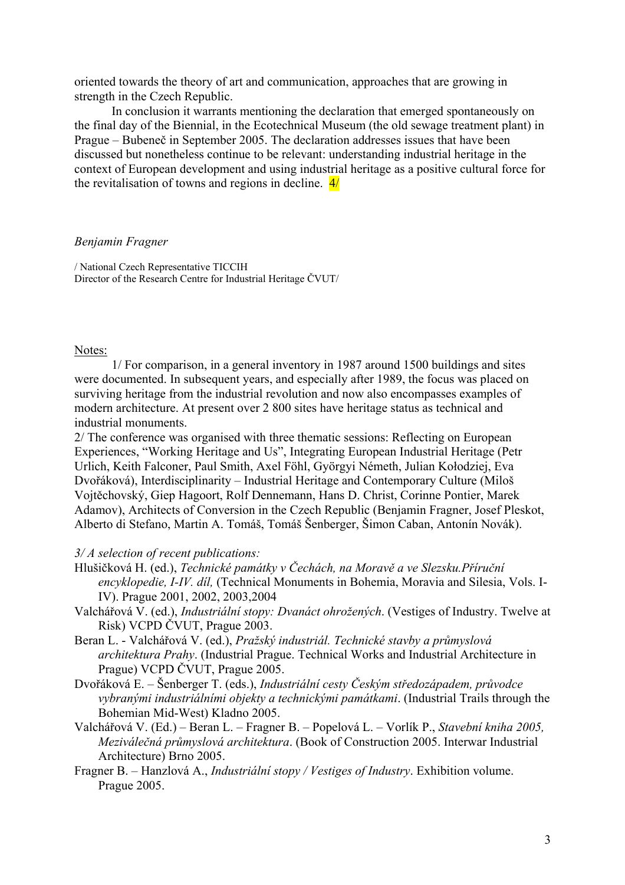oriented towards the theory of art and communication, approaches that are growing in strength in the Czech Republic.

In conclusion it warrants mentioning the declaration that emerged spontaneously on the final day of the Biennial, in the Ecotechnical Museum (the old sewage treatment plant) in Prague – Bubeneč in September 2005. The declaration addresses issues that have been discussed but nonetheless continue to be relevant: understanding industrial heritage in the context of European development and using industrial heritage as a positive cultural force for the revitalisation of towns and regions in decline.  $\frac{4}{1}$ 

## *Benjamin Fragner*

/ National Czech Representative TICCIH Director of the Research Centre for Industrial Heritage ČVUT/

## Notes:

1/ For comparison, in a general inventory in 1987 around 1500 buildings and sites were documented. In subsequent years, and especially after 1989, the focus was placed on surviving heritage from the industrial revolution and now also encompasses examples of modern architecture. At present over 2 800 sites have heritage status as technical and industrial monuments.

2/ The conference was organised with three thematic sessions: Reflecting on European Experiences, "Working Heritage and Us", Integrating European Industrial Heritage (Petr Urlich, Keith Falconer, Paul Smith, Axel Föhl, Györgyi Németh, Julian Kołodziej, Eva Dvořáková), Interdisciplinarity – Industrial Heritage and Contemporary Culture (Miloš Vojtěchovský, Giep Hagoort, Rolf Dennemann, Hans D. Christ, Corinne Pontier, Marek Adamov), Architects of Conversion in the Czech Republic (Benjamin Fragner, Josef Pleskot, Alberto di Stefano, Martin A. Tomáš, Tomáš Šenberger, Šimon Caban, Antonín Novák).

## *3/ A selection of recent publications:*

- Hlušičková H. (ed.), *Technické památky v Čechách, na Moravě a ve Slezsku.Příruční encyklopedie, I-IV. díl,* (Technical Monuments in Bohemia, Moravia and Silesia, Vols. I-IV). Prague 2001, 2002, 2003,2004
- Valchářová V. (ed.), *Industriální stopy: Dvanáct ohrožených*. (Vestiges of Industry. Twelve at Risk) VCPD ČVUT, Prague 2003.
- Beran L. Valchářová V. (ed.), *Pražský industriál. Technické stavby a průmyslová architektura Prahy*. (Industrial Prague. Technical Works and Industrial Architecture in Prague) VCPD ČVUT, Prague 2005.
- Dvořáková E. Šenberger T. (eds.), *Industriální cesty Českým středozápadem, průvodce vybranými industriálními objekty a technickými památkami*. (Industrial Trails through the Bohemian Mid-West) Kladno 2005.
- Valchářová V. (Ed.) Beran L. Fragner B. Popelová L. Vorlík P., *Stavební kniha 2005, Meziválečná průmyslová architektura*. (Book of Construction 2005. Interwar Industrial Architecture) Brno 2005.
- Fragner B. Hanzlová A., *Industriální stopy / Vestiges of Industry*. Exhibition volume. Prague 2005.